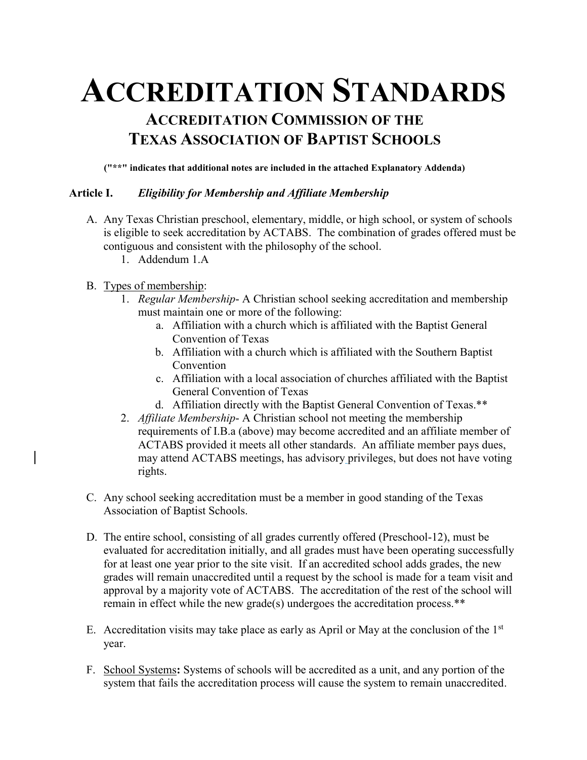# **ACCREDITATION STANDARDS ACCREDITATION COMMISSION OF THE TEXAS ASSOCIATION OF BAPTIST SCHOOLS**

**("\*\*" indicates that additional notes are included in the attached Explanatory Addenda)**

#### **Article I.** *Eligibility for Membership and Affiliate Membership*

- A. Any Texas Christian preschool, elementary, middle, or high school, or system of schools is eligible to seek accreditation by ACTABS. The combination of grades offered must be contiguous and consistent with the philosophy of the school.
	- 1. Addendum 1.A
- B. Types of membership:
	- 1. *Regular Membership* A Christian school seeking accreditation and membership must maintain one or more of the following:
		- a. Affiliation with a church which is affiliated with the Baptist General Convention of Texas
		- b. Affiliation with a church which is affiliated with the Southern Baptist Convention
		- c. Affiliation with a local association of churches affiliated with the Baptist General Convention of Texas
		- d. Affiliation directly with the Baptist General Convention of Texas.\*\*
	- 2. *Affiliate Membership* A Christian school not meeting the membership requirements of I.B.a (above) may become accredited and an affiliate member of ACTABS provided it meets all other standards. An affiliate member pays dues, may attend ACTABS meetings, has advisory privileges, but does not have voting rights.
- C. Any school seeking accreditation must be a member in good standing of the Texas Association of Baptist Schools.
- D. The entire school, consisting of all grades currently offered (Preschool-12), must be evaluated for accreditation initially, and all grades must have been operating successfully for at least one year prior to the site visit. If an accredited school adds grades, the new grades will remain unaccredited until a request by the school is made for a team visit and approval by a majority vote of ACTABS. The accreditation of the rest of the school will remain in effect while the new grade(s) undergoes the accreditation process.\*\*
- E. Accreditation visits may take place as early as April or May at the conclusion of the  $1<sup>st</sup>$ year.
- F. School Systems**:** Systems of schools will be accredited as a unit, and any portion of the system that fails the accreditation process will cause the system to remain unaccredited.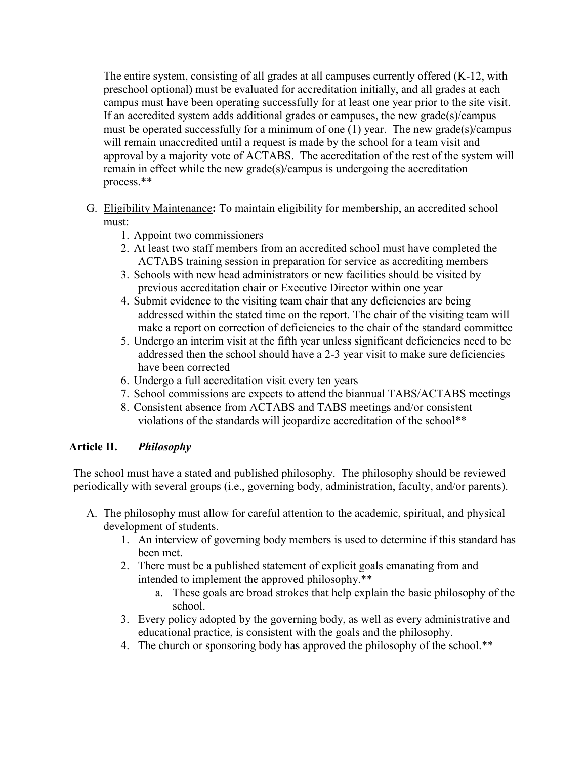The entire system, consisting of all grades at all campuses currently offered (K-12, with preschool optional) must be evaluated for accreditation initially, and all grades at each campus must have been operating successfully for at least one year prior to the site visit. If an accredited system adds additional grades or campuses, the new grade(s)/campus must be operated successfully for a minimum of one (1) year. The new grade(s)/campus will remain unaccredited until a request is made by the school for a team visit and approval by a majority vote of ACTABS. The accreditation of the rest of the system will remain in effect while the new grade(s)/campus is undergoing the accreditation process.\*\*

- G. Eligibility Maintenance**:** To maintain eligibility for membership, an accredited school must:
	- 1. Appoint two commissioners
	- 2. At least two staff members from an accredited school must have completed the ACTABS training session in preparation for service as accrediting members
	- 3. Schools with new head administrators or new facilities should be visited by previous accreditation chair or Executive Director within one year
	- 4. Submit evidence to the visiting team chair that any deficiencies are being addressed within the stated time on the report. The chair of the visiting team will make a report on correction of deficiencies to the chair of the standard committee
	- 5. Undergo an interim visit at the fifth year unless significant deficiencies need to be addressed then the school should have a 2-3 year visit to make sure deficiencies have been corrected
	- 6. Undergo a full accreditation visit every ten years
	- 7. School commissions are expects to attend the biannual TABS/ACTABS meetings
	- 8. Consistent absence from ACTABS and TABS meetings and/or consistent violations of the standards will jeopardize accreditation of the school\*\*

# **Article II.** *Philosophy*

The school must have a stated and published philosophy. The philosophy should be reviewed periodically with several groups (i.e., governing body, administration, faculty, and/or parents).

- A. The philosophy must allow for careful attention to the academic, spiritual, and physical development of students.
	- 1. An interview of governing body members is used to determine if this standard has been met.
	- 2. There must be a published statement of explicit goals emanating from and intended to implement the approved philosophy.\*\*
		- a. These goals are broad strokes that help explain the basic philosophy of the school.
	- 3. Every policy adopted by the governing body, as well as every administrative and educational practice, is consistent with the goals and the philosophy.
	- 4. The church or sponsoring body has approved the philosophy of the school.\*\*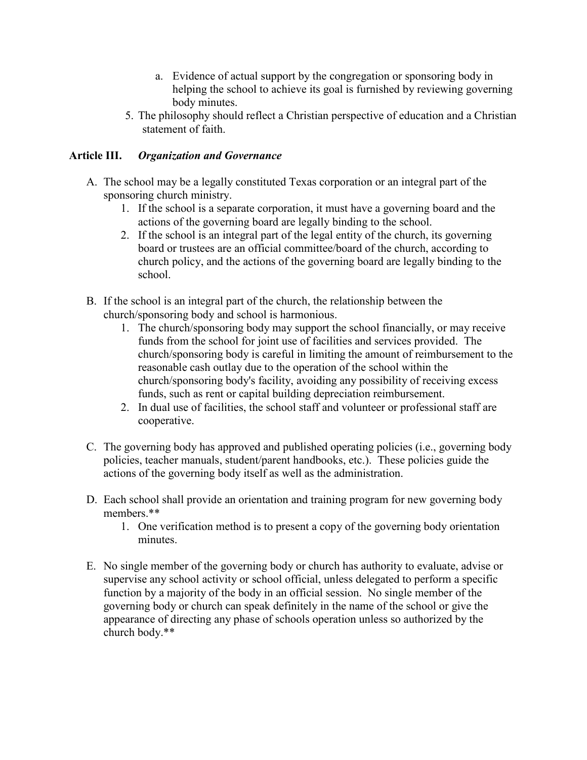- a. Evidence of actual support by the congregation or sponsoring body in helping the school to achieve its goal is furnished by reviewing governing body minutes.
- 5. The philosophy should reflect a Christian perspective of education and a Christian statement of faith.

# **Article III.** *Organization and Governance*

- A. The school may be a legally constituted Texas corporation or an integral part of the sponsoring church ministry.
	- 1. If the school is a separate corporation, it must have a governing board and the actions of the governing board are legally binding to the school.
	- 2. If the school is an integral part of the legal entity of the church, its governing board or trustees are an official committee/board of the church, according to church policy, and the actions of the governing board are legally binding to the school.
- B. If the school is an integral part of the church, the relationship between the church/sponsoring body and school is harmonious.
	- 1. The church/sponsoring body may support the school financially, or may receive funds from the school for joint use of facilities and services provided. The church/sponsoring body is careful in limiting the amount of reimbursement to the reasonable cash outlay due to the operation of the school within the church/sponsoring body's facility, avoiding any possibility of receiving excess funds, such as rent or capital building depreciation reimbursement.
	- 2. In dual use of facilities, the school staff and volunteer or professional staff are cooperative.
- C. The governing body has approved and published operating policies (i.e., governing body policies, teacher manuals, student/parent handbooks, etc.). These policies guide the actions of the governing body itself as well as the administration.
- D. Each school shall provide an orientation and training program for new governing body members.\*\*
	- 1. One verification method is to present a copy of the governing body orientation minutes.
- E. No single member of the governing body or church has authority to evaluate, advise or supervise any school activity or school official, unless delegated to perform a specific function by a majority of the body in an official session. No single member of the governing body or church can speak definitely in the name of the school or give the appearance of directing any phase of schools operation unless so authorized by the church body.\*\*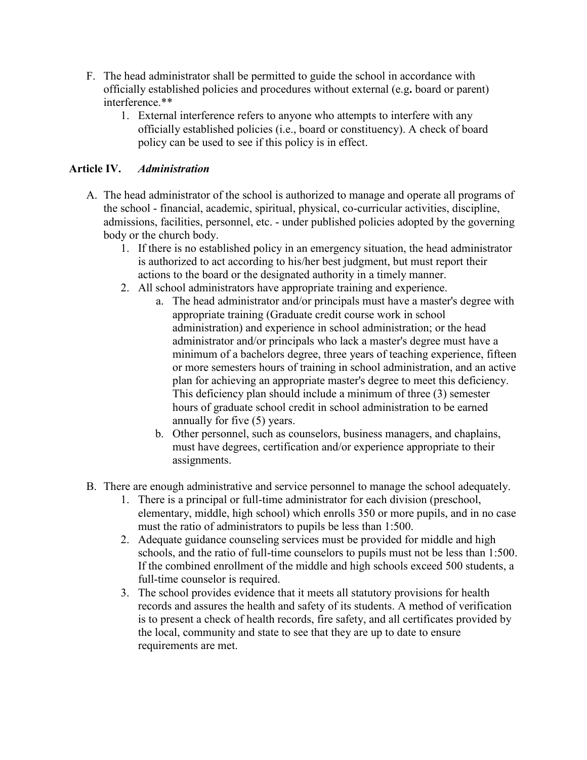- F. The head administrator shall be permitted to guide the school in accordance with officially established policies and procedures without external (e.g**.** board or parent) interference.\*\*
	- 1. External interference refers to anyone who attempts to interfere with any officially established policies (i.e., board or constituency). A check of board policy can be used to see if this policy is in effect.

# **Article IV.** *Administration*

- A. The head administrator of the school is authorized to manage and operate all programs of the school - financial, academic, spiritual, physical, co-curricular activities, discipline, admissions, facilities, personnel, etc. - under published policies adopted by the governing body or the church body.
	- 1. If there is no established policy in an emergency situation, the head administrator is authorized to act according to his/her best judgment, but must report their actions to the board or the designated authority in a timely manner.
	- 2. All school administrators have appropriate training and experience.
		- a. The head administrator and/or principals must have a master's degree with appropriate training (Graduate credit course work in school administration) and experience in school administration; or the head administrator and/or principals who lack a master's degree must have a minimum of a bachelors degree, three years of teaching experience, fifteen or more semesters hours of training in school administration, and an active plan for achieving an appropriate master's degree to meet this deficiency. This deficiency plan should include a minimum of three (3) semester hours of graduate school credit in school administration to be earned annually for five (5) years.
		- b. Other personnel, such as counselors, business managers, and chaplains, must have degrees, certification and/or experience appropriate to their assignments.
- B. There are enough administrative and service personnel to manage the school adequately.
	- 1. There is a principal or full-time administrator for each division (preschool, elementary, middle, high school) which enrolls 350 or more pupils, and in no case must the ratio of administrators to pupils be less than 1:500.
	- 2. Adequate guidance counseling services must be provided for middle and high schools, and the ratio of full-time counselors to pupils must not be less than 1:500. If the combined enrollment of the middle and high schools exceed 500 students, a full-time counselor is required.
	- 3. The school provides evidence that it meets all statutory provisions for health records and assures the health and safety of its students. A method of verification is to present a check of health records, fire safety, and all certificates provided by the local, community and state to see that they are up to date to ensure requirements are met.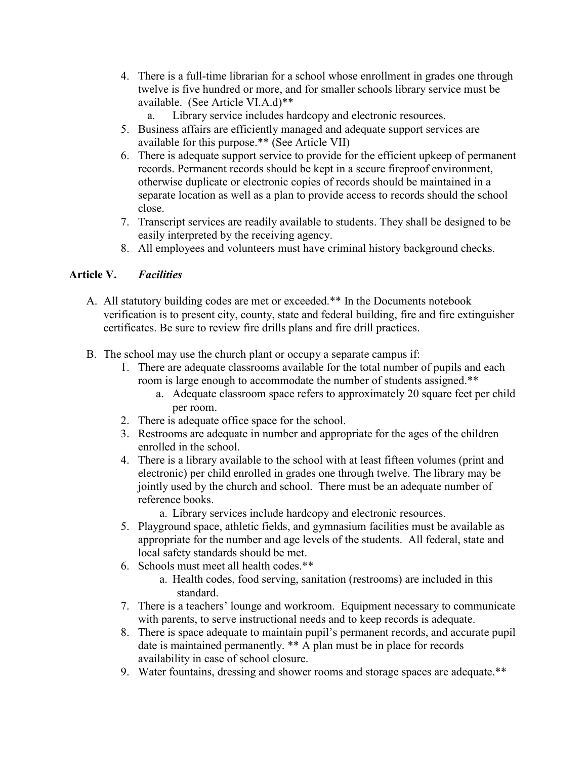- 4. There is a full-time librarian for a school whose enrollment in grades one through twelve is five hundred or more, and for smaller schools library service must be available. (See Article VI.A.d)\*\*
	- a. Library service includes hardcopy and electronic resources.
- 5. Business affairs are efficiently managed and adequate support services are available for this purpose.\*\* (See Article VII)
- 6. There is adequate support service to provide for the efficient upkeep of permanent records. Permanent records should be kept in a secure fireproof environment, otherwise duplicate or electronic copies of records should be maintained in a separate location as well as a plan to provide access to records should the school close.
- 7. Transcript services are readily available to students. They shall be designed to be easily interpreted by the receiving agency.
- 8. All employees and volunteers must have criminal history background checks.

# **Article V.** *Facilities*

- A. All statutory building codes are met or exceeded.\*\* In the Documents notebook verification is to present city, county, state and federal building, fire and fire extinguisher certificates. Be sure to review fire drills plans and fire drill practices.
- B. The school may use the church plant or occupy a separate campus if:
	- 1. There are adequate classrooms available for the total number of pupils and each room is large enough to accommodate the number of students assigned.\*\*
		- a. Adequate classroom space refers to approximately 20 square feet per child per room.
	- 2. There is adequate office space for the school.
	- 3. Restrooms are adequate in number and appropriate for the ages of the children enrolled in the school.
	- 4. There is a library available to the school with at least fifteen volumes (print and electronic) per child enrolled in grades one through twelve. The library may be jointly used by the church and school. There must be an adequate number of reference books.
		- a. Library services include hardcopy and electronic resources.
	- 5. Playground space, athletic fields, and gymnasium facilities must be available as appropriate for the number and age levels of the students. All federal, state and local safety standards should be met.
	- 6. Schools must meet all health codes.\*\*
		- a. Health codes, food serving, sanitation (restrooms) are included in this standard.
	- 7. There is a teachers' lounge and workroom. Equipment necessary to communicate with parents, to serve instructional needs and to keep records is adequate.
	- 8. There is space adequate to maintain pupil's permanent records, and accurate pupil date is maintained permanently. \*\* A plan must be in place for records availability in case of school closure.
	- 9. Water fountains, dressing and shower rooms and storage spaces are adequate.\*\*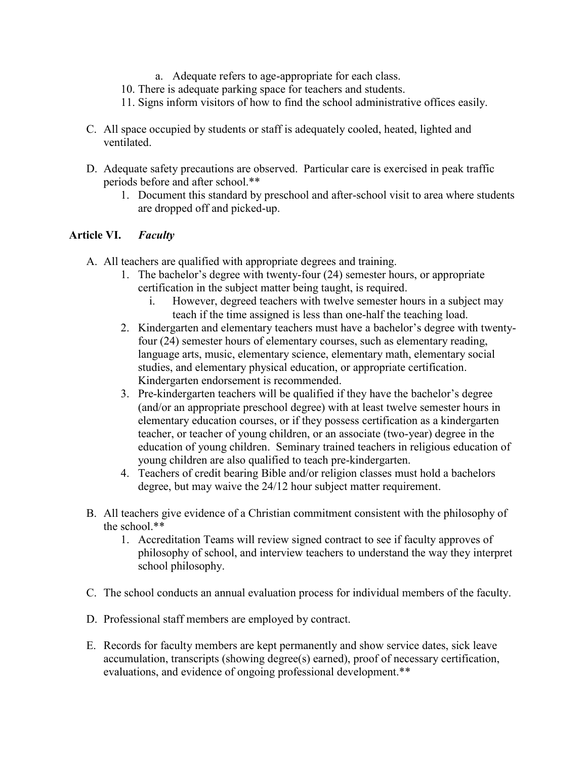- a. Adequate refers to age-appropriate for each class.
- 10. There is adequate parking space for teachers and students.
- 11. Signs inform visitors of how to find the school administrative offices easily.
- C. All space occupied by students or staff is adequately cooled, heated, lighted and ventilated.
- D. Adequate safety precautions are observed. Particular care is exercised in peak traffic periods before and after school.\*\*
	- 1. Document this standard by preschool and after-school visit to area where students are dropped off and picked-up.

#### **Article VI.** *Faculty*

- A. All teachers are qualified with appropriate degrees and training.
	- 1. The bachelor's degree with twenty-four (24) semester hours, or appropriate certification in the subject matter being taught, is required.
		- i. However, degreed teachers with twelve semester hours in a subject may teach if the time assigned is less than one-half the teaching load.
	- 2. Kindergarten and elementary teachers must have a bachelor's degree with twentyfour (24) semester hours of elementary courses, such as elementary reading, language arts, music, elementary science, elementary math, elementary social studies, and elementary physical education, or appropriate certification. Kindergarten endorsement is recommended.
	- 3. Pre-kindergarten teachers will be qualified if they have the bachelor's degree (and/or an appropriate preschool degree) with at least twelve semester hours in elementary education courses, or if they possess certification as a kindergarten teacher, or teacher of young children, or an associate (two-year) degree in the education of young children. Seminary trained teachers in religious education of young children are also qualified to teach pre-kindergarten.
	- 4. Teachers of credit bearing Bible and/or religion classes must hold a bachelors degree, but may waive the 24/12 hour subject matter requirement.
- B. All teachers give evidence of a Christian commitment consistent with the philosophy of the school.\*\*
	- 1. Accreditation Teams will review signed contract to see if faculty approves of philosophy of school, and interview teachers to understand the way they interpret school philosophy.
- C. The school conducts an annual evaluation process for individual members of the faculty.
- D. Professional staff members are employed by contract.
- E. Records for faculty members are kept permanently and show service dates, sick leave accumulation, transcripts (showing degree(s) earned), proof of necessary certification, evaluations, and evidence of ongoing professional development.\*\*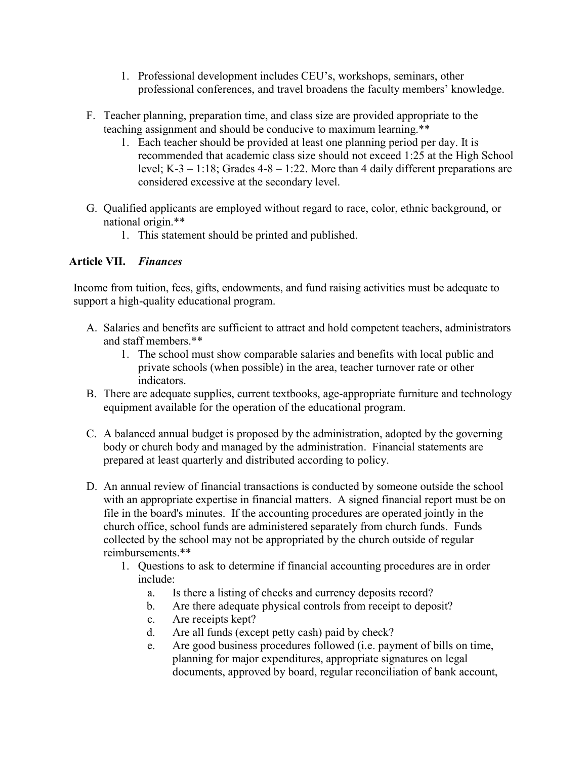- 1. Professional development includes CEU's, workshops, seminars, other professional conferences, and travel broadens the faculty members' knowledge.
- F. Teacher planning, preparation time, and class size are provided appropriate to the teaching assignment and should be conducive to maximum learning.\*\*
	- 1. Each teacher should be provided at least one planning period per day. It is recommended that academic class size should not exceed 1:25 at the High School level; K-3 – 1:18; Grades 4-8 – 1:22. More than 4 daily different preparations are considered excessive at the secondary level.
- G. Qualified applicants are employed without regard to race, color, ethnic background, or national origin.\*\*
	- 1. This statement should be printed and published.

# **Article VII.** *Finances*

Income from tuition, fees, gifts, endowments, and fund raising activities must be adequate to support a high-quality educational program.

- A. Salaries and benefits are sufficient to attract and hold competent teachers, administrators and staff members.\*\*
	- 1. The school must show comparable salaries and benefits with local public and private schools (when possible) in the area, teacher turnover rate or other indicators.
- B. There are adequate supplies, current textbooks, age-appropriate furniture and technology equipment available for the operation of the educational program.
- C. A balanced annual budget is proposed by the administration, adopted by the governing body or church body and managed by the administration. Financial statements are prepared at least quarterly and distributed according to policy.
- D. An annual review of financial transactions is conducted by someone outside the school with an appropriate expertise in financial matters. A signed financial report must be on file in the board's minutes. If the accounting procedures are operated jointly in the church office, school funds are administered separately from church funds. Funds collected by the school may not be appropriated by the church outside of regular reimbursements.\*\*
	- 1. Questions to ask to determine if financial accounting procedures are in order include:
		- a. Is there a listing of checks and currency deposits record?
		- b. Are there adequate physical controls from receipt to deposit?
		- c. Are receipts kept?
		- d. Are all funds (except petty cash) paid by check?
		- e. Are good business procedures followed (i.e. payment of bills on time, planning for major expenditures, appropriate signatures on legal documents, approved by board, regular reconciliation of bank account,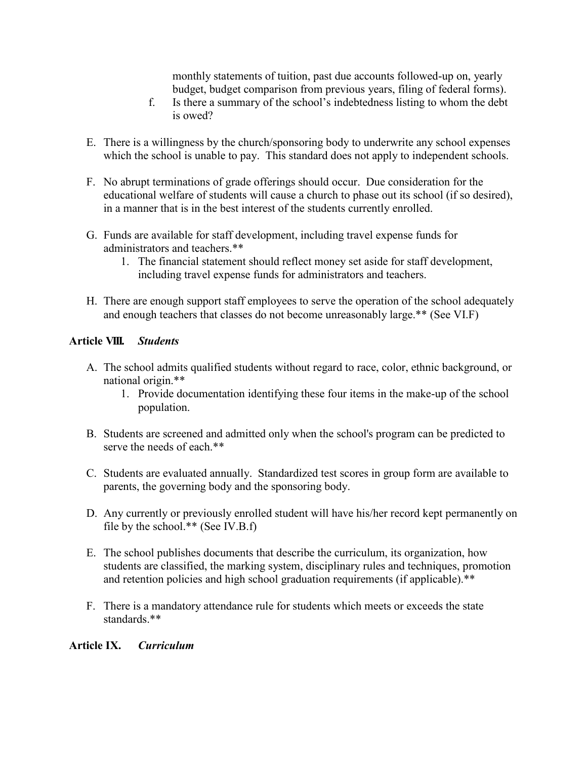monthly statements of tuition, past due accounts followed-up on, yearly budget, budget comparison from previous years, filing of federal forms).

- f. Is there a summary of the school's indebtedness listing to whom the debt is owed?
- E. There is a willingness by the church/sponsoring body to underwrite any school expenses which the school is unable to pay. This standard does not apply to independent schools.
- F. No abrupt terminations of grade offerings should occur. Due consideration for the educational welfare of students will cause a church to phase out its school (if so desired), in a manner that is in the best interest of the students currently enrolled.
- G. Funds are available for staff development, including travel expense funds for administrators and teachers.\*\*
	- 1. The financial statement should reflect money set aside for staff development, including travel expense funds for administrators and teachers.
- H. There are enough support staff employees to serve the operation of the school adequately and enough teachers that classes do not become unreasonably large.\*\* (See VI.F)

# **Article VIII.** *Students*

- A. The school admits qualified students without regard to race, color, ethnic background, or national origin.\*\*
	- 1. Provide documentation identifying these four items in the make-up of the school population.
- B. Students are screened and admitted only when the school's program can be predicted to serve the needs of each.\*\*
- C. Students are evaluated annually. Standardized test scores in group form are available to parents, the governing body and the sponsoring body.
- D. Any currently or previously enrolled student will have his/her record kept permanently on file by the school.\*\* (See IV.B.f)
- E. The school publishes documents that describe the curriculum, its organization, how students are classified, the marking system, disciplinary rules and techniques, promotion and retention policies and high school graduation requirements (if applicable).\*\*
- F. There is a mandatory attendance rule for students which meets or exceeds the state standards.\*\*

#### **Article IX.** *Curriculum*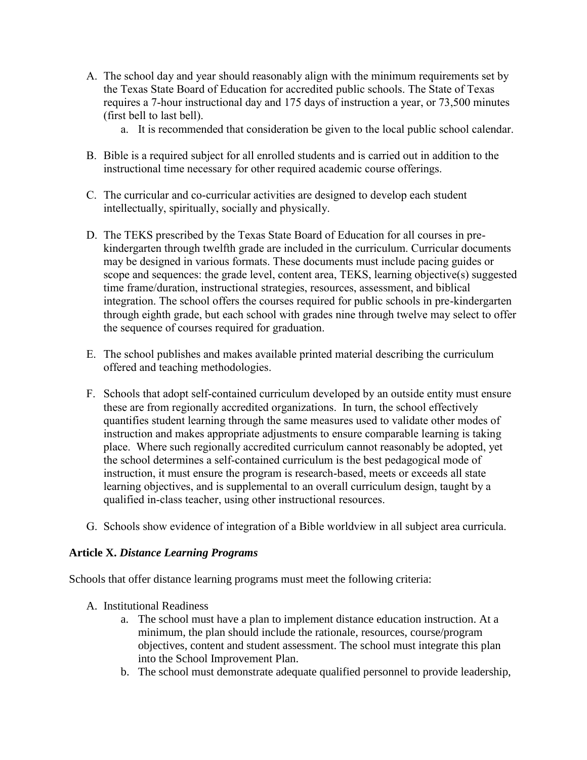- A. The school day and year should reasonably align with the minimum requirements set by the Texas State Board of Education for accredited public schools. The State of Texas requires a 7-hour instructional day and 175 days of instruction a year, or 73,500 minutes (first bell to last bell).
	- a. It is recommended that consideration be given to the local public school calendar.
- B. Bible is a required subject for all enrolled students and is carried out in addition to the instructional time necessary for other required academic course offerings.
- C. The curricular and co-curricular activities are designed to develop each student intellectually, spiritually, socially and physically.
- D. The TEKS prescribed by the Texas State Board of Education for all courses in prekindergarten through twelfth grade are included in the curriculum. Curricular documents may be designed in various formats. These documents must include pacing guides or scope and sequences: the grade level, content area, TEKS, learning objective(s) suggested time frame/duration, instructional strategies, resources, assessment, and biblical integration. The school offers the courses required for public schools in pre-kindergarten through eighth grade, but each school with grades nine through twelve may select to offer the sequence of courses required for graduation.
- E. The school publishes and makes available printed material describing the curriculum offered and teaching methodologies.
- F. Schools that adopt self-contained curriculum developed by an outside entity must ensure these are from regionally accredited organizations. In turn, the school effectively quantifies student learning through the same measures used to validate other modes of instruction and makes appropriate adjustments to ensure comparable learning is taking place. Where such regionally accredited curriculum cannot reasonably be adopted, yet the school determines a self-contained curriculum is the best pedagogical mode of instruction, it must ensure the program is research-based, meets or exceeds all state learning objectives, and is supplemental to an overall curriculum design, taught by a qualified in-class teacher, using other instructional resources.
- G. Schools show evidence of integration of a Bible worldview in all subject area curricula.

#### **Article X.** *Distance Learning Programs*

Schools that offer distance learning programs must meet the following criteria:

- A. Institutional Readiness
	- a. The school must have a plan to implement distance education instruction. At a minimum, the plan should include the rationale, resources, course/program objectives, content and student assessment. The school must integrate this plan into the School Improvement Plan.
	- b. The school must demonstrate adequate qualified personnel to provide leadership,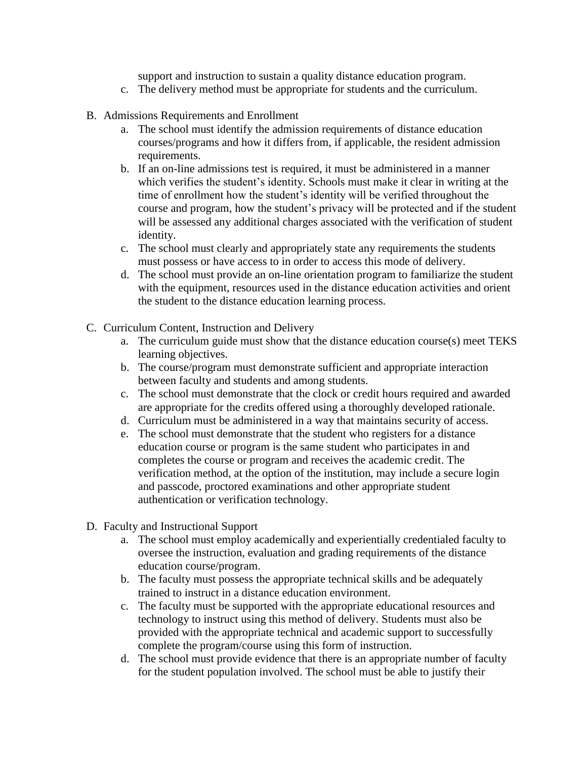support and instruction to sustain a quality distance education program.

- c. The delivery method must be appropriate for students and the curriculum.
- B. Admissions Requirements and Enrollment
	- a. The school must identify the admission requirements of distance education courses/programs and how it differs from, if applicable, the resident admission requirements.
	- b. If an on-line admissions test is required, it must be administered in a manner which verifies the student's identity. Schools must make it clear in writing at the time of enrollment how the student's identity will be verified throughout the course and program, how the student's privacy will be protected and if the student will be assessed any additional charges associated with the verification of student identity.
	- c. The school must clearly and appropriately state any requirements the students must possess or have access to in order to access this mode of delivery.
	- d. The school must provide an on-line orientation program to familiarize the student with the equipment, resources used in the distance education activities and orient the student to the distance education learning process.
- C. Curriculum Content, Instruction and Delivery
	- a. The curriculum guide must show that the distance education course(s) meet TEKS learning objectives.
	- b. The course/program must demonstrate sufficient and appropriate interaction between faculty and students and among students.
	- c. The school must demonstrate that the clock or credit hours required and awarded are appropriate for the credits offered using a thoroughly developed rationale.
	- d. Curriculum must be administered in a way that maintains security of access.
	- e. The school must demonstrate that the student who registers for a distance education course or program is the same student who participates in and completes the course or program and receives the academic credit. The verification method, at the option of the institution, may include a secure login and passcode, proctored examinations and other appropriate student authentication or verification technology.
- D. Faculty and Instructional Support
	- a. The school must employ academically and experientially credentialed faculty to oversee the instruction, evaluation and grading requirements of the distance education course/program.
	- b. The faculty must possess the appropriate technical skills and be adequately trained to instruct in a distance education environment.
	- c. The faculty must be supported with the appropriate educational resources and technology to instruct using this method of delivery. Students must also be provided with the appropriate technical and academic support to successfully complete the program/course using this form of instruction.
	- d. The school must provide evidence that there is an appropriate number of faculty for the student population involved. The school must be able to justify their